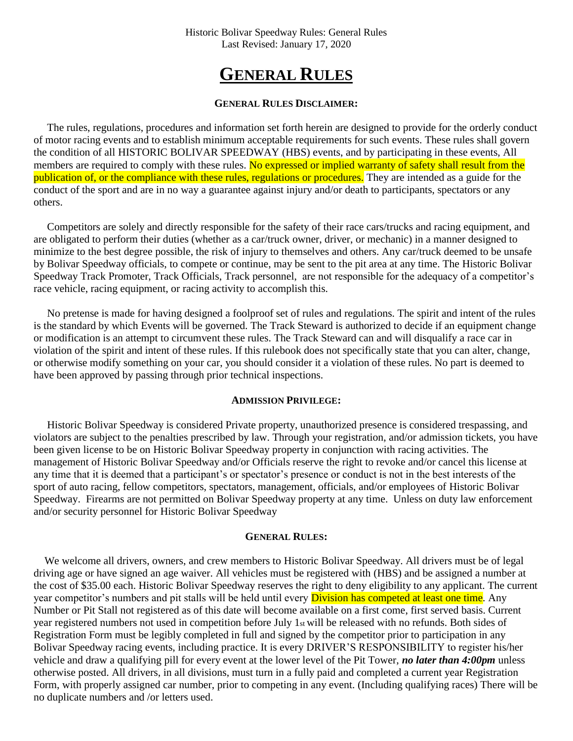# **GENERAL RULES**

#### **GENERAL RULES DISCLAIMER:**

 The rules, regulations, procedures and information set forth herein are designed to provide for the orderly conduct of motor racing events and to establish minimum acceptable requirements for such events. These rules shall govern the condition of all HISTORIC BOLIVAR SPEEDWAY (HBS) events, and by participating in these events, All members are required to comply with these rules. No expressed or implied warranty of safety shall result from the publication of, or the compliance with these rules, regulations or procedures. They are intended as a guide for the conduct of the sport and are in no way a guarantee against injury and/or death to participants, spectators or any others.

 Competitors are solely and directly responsible for the safety of their race cars/trucks and racing equipment, and are obligated to perform their duties (whether as a car/truck owner, driver, or mechanic) in a manner designed to minimize to the best degree possible, the risk of injury to themselves and others. Any car/truck deemed to be unsafe by Bolivar Speedway officials, to compete or continue, may be sent to the pit area at any time. The Historic Bolivar Speedway Track Promoter, Track Officials, Track personnel, are not responsible for the adequacy of a competitor's race vehicle, racing equipment, or racing activity to accomplish this.

 No pretense is made for having designed a foolproof set of rules and regulations. The spirit and intent of the rules is the standard by which Events will be governed. The Track Steward is authorized to decide if an equipment change or modification is an attempt to circumvent these rules. The Track Steward can and will disqualify a race car in violation of the spirit and intent of these rules. If this rulebook does not specifically state that you can alter, change, or otherwise modify something on your car, you should consider it a violation of these rules. No part is deemed to have been approved by passing through prior technical inspections.

#### **ADMISSION PRIVILEGE:**

 Historic Bolivar Speedway is considered Private property, unauthorized presence is considered trespassing, and violators are subject to the penalties prescribed by law. Through your registration, and/or admission tickets, you have been given license to be on Historic Bolivar Speedway property in conjunction with racing activities. The management of Historic Bolivar Speedway and/or Officials reserve the right to revoke and/or cancel this license at any time that it is deemed that a participant's or spectator's presence or conduct is not in the best interests of the sport of auto racing, fellow competitors, spectators, management, officials, and/or employees of Historic Bolivar Speedway. Firearms are not permitted on Bolivar Speedway property at any time. Unless on duty law enforcement and/or security personnel for Historic Bolivar Speedway

#### **GENERAL RULES:**

We welcome all drivers, owners, and crew members to Historic Bolivar Speedway. All drivers must be of legal driving age or have signed an age waiver. All vehicles must be registered with (HBS) and be assigned a number at the cost of \$35.00 each. Historic Bolivar Speedway reserves the right to deny eligibility to any applicant. The current year competitor's numbers and pit stalls will be held until every Division has competed at least one time*.* Any Number or Pit Stall not registered as of this date will become available on a first come, first served basis. Current year registered numbers not used in competition before July 1st will be released with no refunds. Both sides of Registration Form must be legibly completed in full and signed by the competitor prior to participation in any Bolivar Speedway racing events, including practice. It is every DRIVER'S RESPONSIBILITY to register his/her vehicle and draw a qualifying pill for every event at the lower level of the Pit Tower, *no later than 4:00pm* unless otherwise posted. All drivers, in all divisions, must turn in a fully paid and completed a current year Registration Form, with properly assigned car number, prior to competing in any event. (Including qualifying races) There will be no duplicate numbers and /or letters used.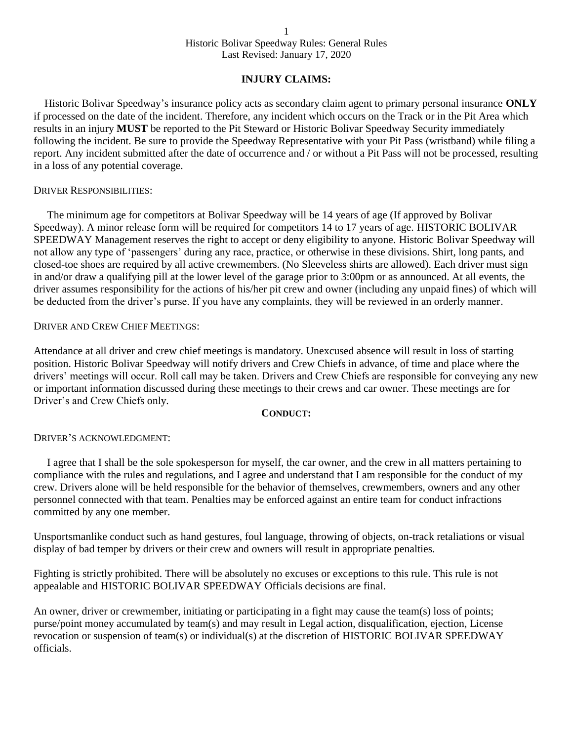### **INJURY CLAIMS:**

 Historic Bolivar Speedway's insurance policy acts as secondary claim agent to primary personal insurance **ONLY**  if processed on the date of the incident. Therefore, any incident which occurs on the Track or in the Pit Area which results in an injury **MUST** be reported to the Pit Steward or Historic Bolivar Speedway Security immediately following the incident. Be sure to provide the Speedway Representative with your Pit Pass (wristband) while filing a report. Any incident submitted after the date of occurrence and / or without a Pit Pass will not be processed, resulting in a loss of any potential coverage.

#### DRIVER RESPONSIBILITIES:

 The minimum age for competitors at Bolivar Speedway will be 14 years of age (If approved by Bolivar Speedway). A minor release form will be required for competitors 14 to 17 years of age. HISTORIC BOLIVAR SPEEDWAY Management reserves the right to accept or deny eligibility to anyone. Historic Bolivar Speedway will not allow any type of 'passengers' during any race, practice, or otherwise in these divisions. Shirt, long pants, and closed-toe shoes are required by all active crewmembers. (No Sleeveless shirts are allowed). Each driver must sign in and/or draw a qualifying pill at the lower level of the garage prior to 3:00pm or as announced. At all events, the driver assumes responsibility for the actions of his/her pit crew and owner (including any unpaid fines) of which will be deducted from the driver's purse. If you have any complaints, they will be reviewed in an orderly manner.

#### DRIVER AND CREW CHIEF MEETINGS:

Attendance at all driver and crew chief meetings is mandatory. Unexcused absence will result in loss of starting position. Historic Bolivar Speedway will notify drivers and Crew Chiefs in advance, of time and place where the drivers' meetings will occur. Roll call may be taken. Drivers and Crew Chiefs are responsible for conveying any new or important information discussed during these meetings to their crews and car owner. These meetings are for Driver's and Crew Chiefs only.

#### **CONDUCT:**

#### DRIVER'S ACKNOWLEDGMENT:

 I agree that I shall be the sole spokesperson for myself, the car owner, and the crew in all matters pertaining to compliance with the rules and regulations, and I agree and understand that I am responsible for the conduct of my crew. Drivers alone will be held responsible for the behavior of themselves, crewmembers, owners and any other personnel connected with that team. Penalties may be enforced against an entire team for conduct infractions committed by any one member.

Unsportsmanlike conduct such as hand gestures, foul language, throwing of objects, on-track retaliations or visual display of bad temper by drivers or their crew and owners will result in appropriate penalties.

Fighting is strictly prohibited. There will be absolutely no excuses or exceptions to this rule. This rule is not appealable and HISTORIC BOLIVAR SPEEDWAY Officials decisions are final.

An owner, driver or crewmember, initiating or participating in a fight may cause the team(s) loss of points; purse/point money accumulated by team(s) and may result in Legal action, disqualification, ejection, License revocation or suspension of team(s) or individual(s) at the discretion of HISTORIC BOLIVAR SPEEDWAY officials.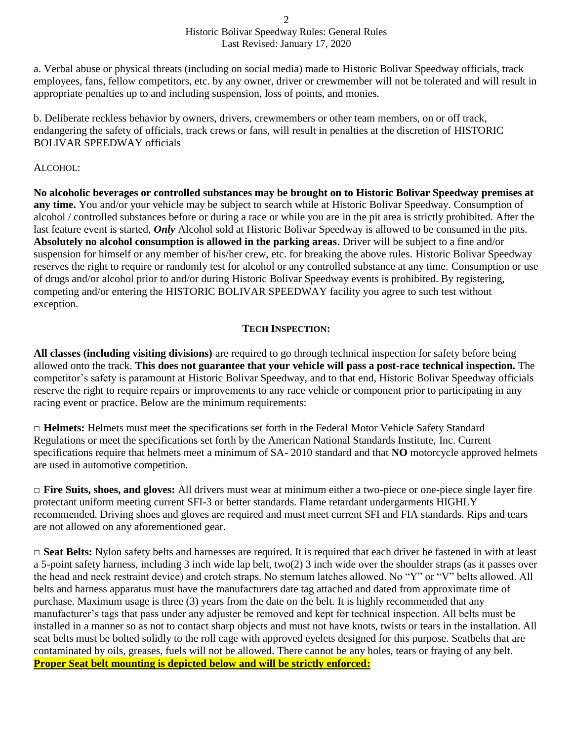a. Verbal abuse or physical threats (including on social media) made to Historic Bolivar Speedway officials, track employees, fans, fellow competitors, etc. by any owner, driver or crewmember will not be tolerated and will result in appropriate penalties up to and including suspension, loss of points, and monies.

b. Deliberate reckless behavior by owners, drivers, crewmembers or other team members, on or off track, endangering the safety of officials, track crews or fans, will result in penalties at the discretion of HISTORIC BOLIVAR SPEEDWAY officials

#### ALCOHOL:

**No alcoholic beverages or controlled substances may be brought on to Historic Bolivar Speedway premises at any time.** You and/or your vehicle may be subject to search while at Historic Bolivar Speedway. Consumption of alcohol / controlled substances before or during a race or while you are in the pit area is strictly prohibited. After the last feature event is started, *Only* Alcohol sold at Historic Bolivar Speedway is allowed to be consumed in the pits. **Absolutely no alcohol consumption is allowed in the parking areas**. Driver will be subject to a fine and/or suspension for himself or any member of his/her crew, etc. for breaking the above rules. Historic Bolivar Speedway reserves the right to require or randomly test for alcohol or any controlled substance at any time. Consumption or use of drugs and/or alcohol prior to and/or during Historic Bolivar Speedway events is prohibited. By registering, competing and/or entering the HISTORIC BOLIVAR SPEEDWAY facility you agree to such test without exception.

#### **TECH INSPECTION:**

**All classes (including visiting divisions)** are required to go through technical inspection for safety before being allowed onto the track. **This does not guarantee that your vehicle will pass a post-race technical inspection.** The competitor's safety is paramount at Historic Bolivar Speedway, and to that end, Historic Bolivar Speedway officials reserve the right to require repairs or improvements to any race vehicle or component prior to participating in any racing event or practice. Below are the minimum requirements:

□ **Helmets:** Helmets must meet the specifications set forth in the Federal Motor Vehicle Safety Standard Regulations or meet the specifications set forth by the American National Standards Institute, Inc. Current specifications require that helmets meet a minimum of SA- 2010 standard and that **NO** motorcycle approved helmets are used in automotive competition.

□ **Fire Suits, shoes, and gloves:** All drivers must wear at minimum either a two-piece or one-piece single layer fire protectant uniform meeting current SFI-3 or better standards. Flame retardant undergarments HIGHLY recommended. Driving shoes and gloves are required and must meet current SFI and FIA standards. Rips and tears are not allowed on any aforementioned gear.

□ **Seat Belts:** Nylon safety belts and harnesses are required. It is required that each driver be fastened in with at least a 5-point safety harness, including 3 inch wide lap belt, two(2) 3 inch wide over the shoulder straps (as it passes over the head and neck restraint device) and crotch straps. No sternum latches allowed. No "Y" or "V" belts allowed. All belts and harness apparatus must have the manufacturers date tag attached and dated from approximate time of purchase. Maximum usage is three (3) years from the date on the belt. It is highly recommended that any manufacturer's tags that pass under any adjuster be removed and kept for technical inspection. All belts must be installed in a manner so as not to contact sharp objects and must not have knots, twists or tears in the installation. All seat belts must be bolted solidly to the roll cage with approved eyelets designed for this purpose. Seatbelts that are contaminated by oils, greases, fuels will not be allowed. There cannot be any holes, tears or fraying of any belt. **Proper Seat belt mounting is depicted below and will be strictly enforced:**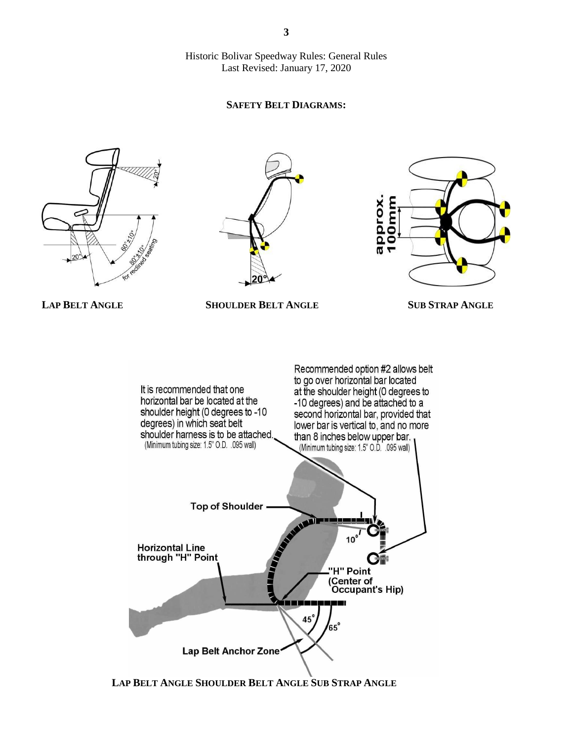### **SAFETY BELT DIAGRAMS:**



 **LAP BELT ANGLE SHOULDER BELT ANGLE SUB STRAP ANGLE**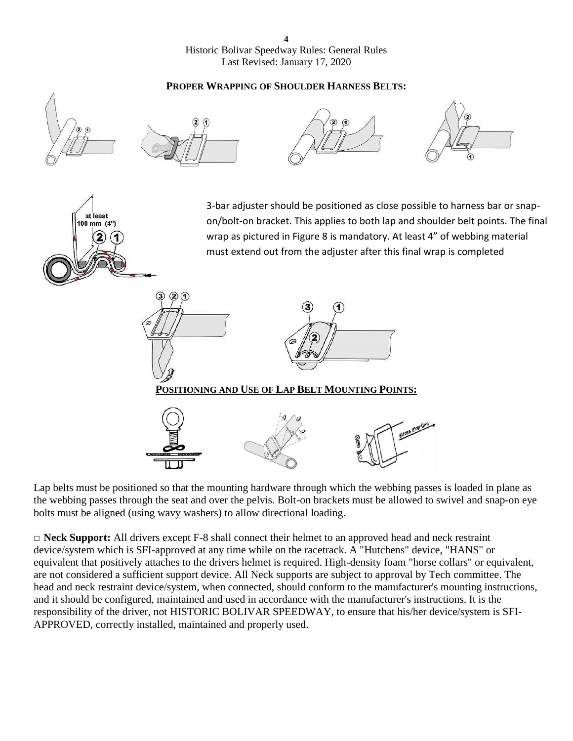#### **PROPER WRAPPING OF SHOULDER HARNESS BELTS:**



Lap belts must be positioned so that the mounting hardware through which the webbing passes is loaded in plane as the webbing passes through the seat and over the pelvis. Bolt-on brackets must be allowed to swivel and snap-on eye bolts must be aligned (using wavy washers) to allow directional loading.

□ **Neck Support:** All drivers except F-8 shall connect their helmet to an approved head and neck restraint device/system which is SFI-approved at any time while on the racetrack. A "Hutchens" device, "HANS" or equivalent that positively attaches to the drivers helmet is required. High-density foam "horse collars" or equivalent, are not considered a sufficient support device. All Neck supports are subject to approval by Tech committee. The head and neck restraint device/system, when connected, should conform to the manufacturer's mounting instructions, and it should be configured, maintained and used in accordance with the manufacturer's instructions. It is the responsibility of the driver, not HISTORIC BOLIVAR SPEEDWAY, to ensure that his/her device/system is SFI-APPROVED, correctly installed, maintained and properly used.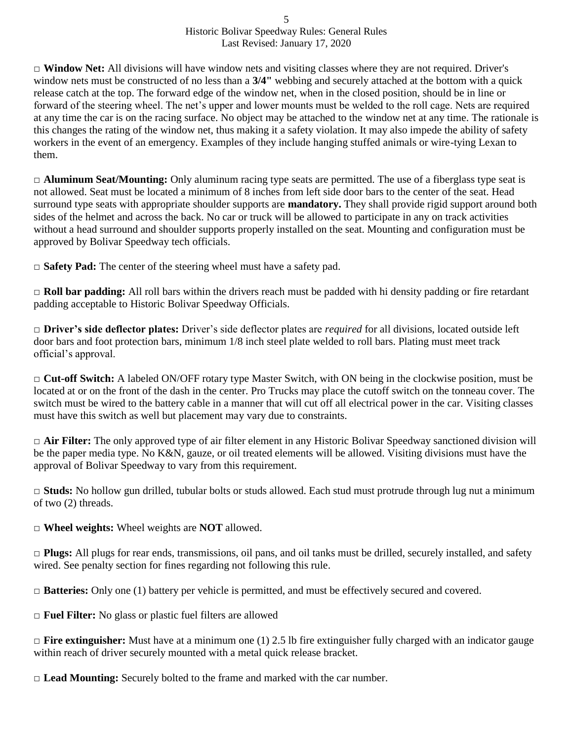□ **Window Net:** All divisions will have window nets and visiting classes where they are not required. Driver's window nets must be constructed of no less than a **3/4"** webbing and securely attached at the bottom with a quick release catch at the top. The forward edge of the window net, when in the closed position, should be in line or forward of the steering wheel. The net's upper and lower mounts must be welded to the roll cage. Nets are required at any time the car is on the racing surface. No object may be attached to the window net at any time. The rationale is this changes the rating of the window net, thus making it a safety violation. It may also impede the ability of safety workers in the event of an emergency. Examples of they include hanging stuffed animals or wire-tying Lexan to them.

□ **Aluminum Seat/Mounting:** Only aluminum racing type seats are permitted. The use of a fiberglass type seat is not allowed. Seat must be located a minimum of 8 inches from left side door bars to the center of the seat. Head surround type seats with appropriate shoulder supports are **mandatory.** They shall provide rigid support around both sides of the helmet and across the back. No car or truck will be allowed to participate in any on track activities without a head surround and shoulder supports properly installed on the seat. Mounting and configuration must be approved by Bolivar Speedway tech officials.

□ **Safety Pad:** The center of the steering wheel must have a safety pad.

□ **Roll bar padding:** All roll bars within the drivers reach must be padded with hi density padding or fire retardant padding acceptable to Historic Bolivar Speedway Officials.

□ **Driver's side deflector plates:** Driver's side deflector plates are *required* for all divisions, located outside left door bars and foot protection bars, minimum 1/8 inch steel plate welded to roll bars. Plating must meet track official's approval.

□ **Cut-off Switch:** A labeled ON/OFF rotary type Master Switch, with ON being in the clockwise position, must be located at or on the front of the dash in the center. Pro Trucks may place the cutoff switch on the tonneau cover. The switch must be wired to the battery cable in a manner that will cut off all electrical power in the car. Visiting classes must have this switch as well but placement may vary due to constraints.

□ **Air Filter:** The only approved type of air filter element in any Historic Bolivar Speedway sanctioned division will be the paper media type. No K&N, gauze, or oil treated elements will be allowed. Visiting divisions must have the approval of Bolivar Speedway to vary from this requirement.

□ **Studs:** No hollow gun drilled, tubular bolts or studs allowed. Each stud must protrude through lug nut a minimum of two (2) threads.

□ **Wheel weights:** Wheel weights are **NOT** allowed.

□ **Plugs:** All plugs for rear ends, transmissions, oil pans, and oil tanks must be drilled, securely installed, and safety wired. See penalty section for fines regarding not following this rule.

□ **Batteries:** Only one (1) battery per vehicle is permitted, and must be effectively secured and covered.

□ **Fuel Filter:** No glass or plastic fuel filters are allowed

□ **Fire extinguisher:** Must have at a minimum one (1) 2.5 lb fire extinguisher fully charged with an indicator gauge within reach of driver securely mounted with a metal quick release bracket.

□ **Lead Mounting:** Securely bolted to the frame and marked with the car number.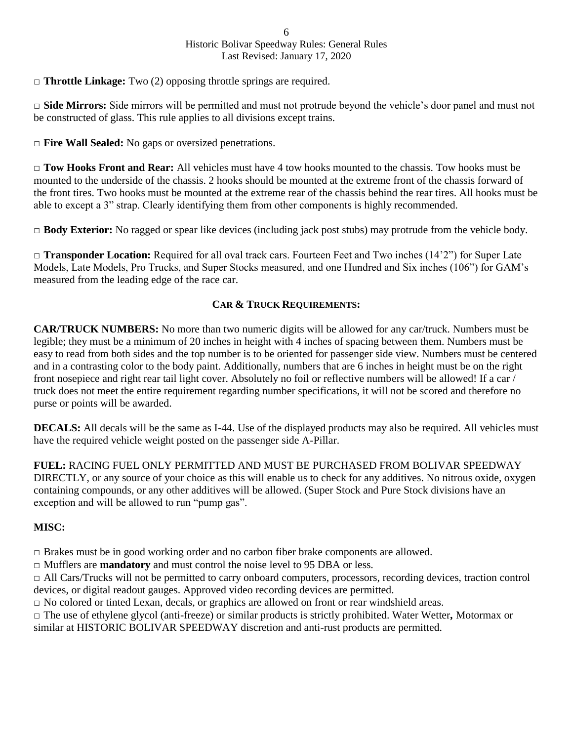□ **Throttle Linkage:** Two (2) opposing throttle springs are required.

□ **Side Mirrors:** Side mirrors will be permitted and must not protrude beyond the vehicle's door panel and must not be constructed of glass. This rule applies to all divisions except trains.

□ **Fire Wall Sealed:** No gaps or oversized penetrations.

□ **Tow Hooks Front and Rear:** All vehicles must have 4 tow hooks mounted to the chassis. Tow hooks must be mounted to the underside of the chassis. 2 hooks should be mounted at the extreme front of the chassis forward of the front tires. Two hooks must be mounted at the extreme rear of the chassis behind the rear tires. All hooks must be able to except a 3" strap. Clearly identifying them from other components is highly recommended.

□ **Body Exterior:** No ragged or spear like devices (including jack post stubs) may protrude from the vehicle body.

□ **Transponder Location:** Required for all oval track cars. Fourteen Feet and Two inches (14'2") for Super Late Models, Late Models, Pro Trucks, and Super Stocks measured, and one Hundred and Six inches (106") for GAM's measured from the leading edge of the race car.

### **CAR & TRUCK REQUIREMENTS:**

**CAR/TRUCK NUMBERS:** No more than two numeric digits will be allowed for any car/truck. Numbers must be legible; they must be a minimum of 20 inches in height with 4 inches of spacing between them. Numbers must be easy to read from both sides and the top number is to be oriented for passenger side view. Numbers must be centered and in a contrasting color to the body paint. Additionally, numbers that are 6 inches in height must be on the right front nosepiece and right rear tail light cover. Absolutely no foil or reflective numbers will be allowed! If a car / truck does not meet the entire requirement regarding number specifications, it will not be scored and therefore no purse or points will be awarded.

**DECALS:** All decals will be the same as I-44. Use of the displayed products may also be required. All vehicles must have the required vehicle weight posted on the passenger side A-Pillar.

**FUEL:** RACING FUEL ONLY PERMITTED AND MUST BE PURCHASED FROM BOLIVAR SPEEDWAY DIRECTLY, or any source of your choice as this will enable us to check for any additives. No nitrous oxide, oxygen containing compounds, or any other additives will be allowed. (Super Stock and Pure Stock divisions have an exception and will be allowed to run "pump gas".

### **MISC:**

 $\Box$  Brakes must be in good working order and no carbon fiber brake components are allowed.

□ Mufflers are **mandatory** and must control the noise level to 95 DBA or less.

 $\Box$  All Cars/Trucks will not be permitted to carry onboard computers, processors, recording devices, traction control devices, or digital readout gauges. Approved video recording devices are permitted.

 $\Box$  No colored or tinted Lexan, decals, or graphics are allowed on front or rear windshield areas.

□ The use of ethylene glycol (anti-freeze) or similar products is strictly prohibited. Water Wetter*,* Motormax or similar at HISTORIC BOLIVAR SPEEDWAY discretion and anti-rust products are permitted.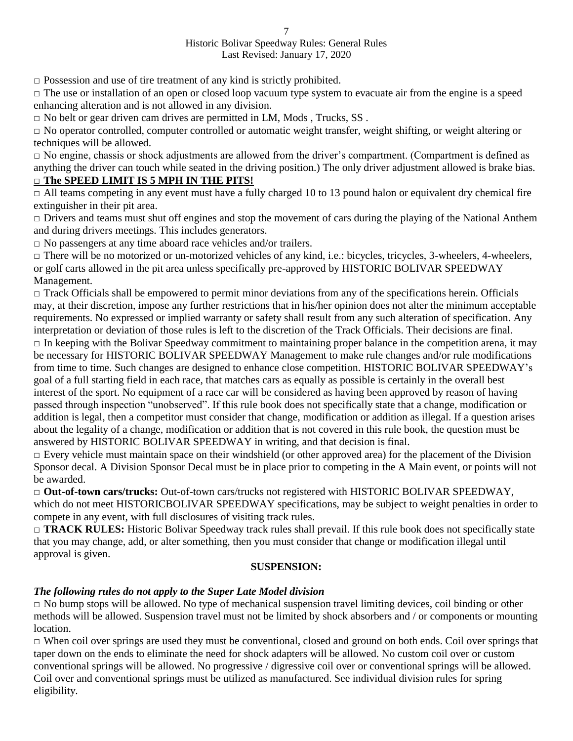$\Box$  Possession and use of tire treatment of any kind is strictly prohibited.

 $\Box$  The use or installation of an open or closed loop vacuum type system to evacuate air from the engine is a speed enhancing alteration and is not allowed in any division.

 $\Box$  No belt or gear driven cam drives are permitted in LM, Mods, Trucks, SS.

 $\Box$  No operator controlled, computer controlled or automatic weight transfer, weight shifting, or weight altering or techniques will be allowed.

 $\Box$  No engine, chassis or shock adjustments are allowed from the driver's compartment. (Compartment is defined as anything the driver can touch while seated in the driving position.) The only driver adjustment allowed is brake bias.

## □ **The SPEED LIMIT IS 5 MPH IN THE PITS!**

 $\Box$  All teams competing in any event must have a fully charged 10 to 13 pound halon or equivalent dry chemical fire extinguisher in their pit area.

 $\Box$  Drivers and teams must shut off engines and stop the movement of cars during the playing of the National Anthem and during drivers meetings. This includes generators.

 $\square$  No passengers at any time aboard race vehicles and/or trailers.

 $\Box$  There will be no motorized or un-motorized vehicles of any kind, i.e.: bicycles, tricycles, 3-wheelers, 4-wheelers, or golf carts allowed in the pit area unless specifically pre-approved by HISTORIC BOLIVAR SPEEDWAY Management.

 $\Box$  Track Officials shall be empowered to permit minor deviations from any of the specifications herein. Officials may, at their discretion, impose any further restrictions that in his/her opinion does not alter the minimum acceptable requirements. No expressed or implied warranty or safety shall result from any such alteration of specification. Any interpretation or deviation of those rules is left to the discretion of the Track Officials. Their decisions are final.  $\Box$  In keeping with the Bolivar Speedway commitment to maintaining proper balance in the competition arena, it may be necessary for HISTORIC BOLIVAR SPEEDWAY Management to make rule changes and/or rule modifications from time to time. Such changes are designed to enhance close competition. HISTORIC BOLIVAR SPEEDWAY's goal of a full starting field in each race, that matches cars as equally as possible is certainly in the overall best interest of the sport. No equipment of a race car will be considered as having been approved by reason of having passed through inspection "unobserved". If this rule book does not specifically state that a change, modification or addition is legal, then a competitor must consider that change, modification or addition as illegal. If a question arises about the legality of a change, modification or addition that is not covered in this rule book, the question must be answered by HISTORIC BOLIVAR SPEEDWAY in writing, and that decision is final.

 $\Box$  Every vehicle must maintain space on their windshield (or other approved area) for the placement of the Division Sponsor decal. A Division Sponsor Decal must be in place prior to competing in the A Main event, or points will not be awarded.

□ **Out-of-town cars/trucks:** Out-of-town cars/trucks not registered with HISTORIC BOLIVAR SPEEDWAY, which do not meet HISTORICBOLIVAR SPEEDWAY specifications, may be subject to weight penalties in order to compete in any event, with full disclosures of visiting track rules.

□ **TRACK RULES:** Historic Bolivar Speedway track rules shall prevail. If this rule book does not specifically state that you may change, add, or alter something, then you must consider that change or modification illegal until approval is given.

### **SUSPENSION:**

# *The following rules do not apply to the Super Late Model division*

 $\Box$  No bump stops will be allowed. No type of mechanical suspension travel limiting devices, coil binding or other methods will be allowed. Suspension travel must not be limited by shock absorbers and / or components or mounting location.

 $\Box$  When coil over springs are used they must be conventional, closed and ground on both ends. Coil over springs that taper down on the ends to eliminate the need for shock adapters will be allowed. No custom coil over or custom conventional springs will be allowed. No progressive / digressive coil over or conventional springs will be allowed. Coil over and conventional springs must be utilized as manufactured. See individual division rules for spring eligibility*.*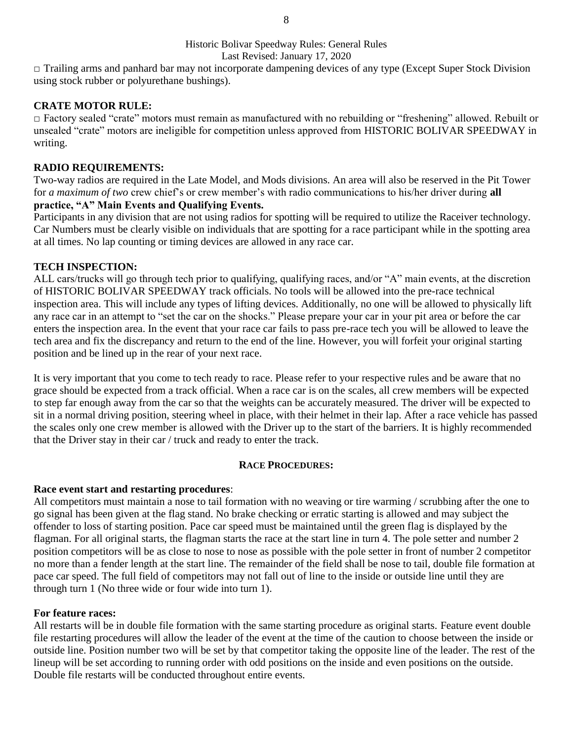$\Box$  Trailing arms and panhard bar may not incorporate dampening devices of any type (Except Super Stock Division using stock rubber or polyurethane bushings).

### **CRATE MOTOR RULE:**

□ Factory sealed "crate" motors must remain as manufactured with no rebuilding or "freshening" allowed. Rebuilt or unsealed "crate" motors are ineligible for competition unless approved from HISTORIC BOLIVAR SPEEDWAY in writing.

### **RADIO REQUIREMENTS:**

Two-way radios are required in the Late Model, and Mods divisions. An area will also be reserved in the Pit Tower for *a maximum of two* crew chief's or crew member's with radio communications to his/her driver during **all** 

### **practice, "A" Main Events and Qualifying Events.**

Participants in any division that are not using radios for spotting will be required to utilize the Raceiver technology. Car Numbers must be clearly visible on individuals that are spotting for a race participant while in the spotting area at all times. No lap counting or timing devices are allowed in any race car.

### **TECH INSPECTION:**

ALL cars/trucks will go through tech prior to qualifying, qualifying races, and/or "A" main events, at the discretion of HISTORIC BOLIVAR SPEEDWAY track officials. No tools will be allowed into the pre-race technical inspection area. This will include any types of lifting devices. Additionally, no one will be allowed to physically lift any race car in an attempt to "set the car on the shocks." Please prepare your car in your pit area or before the car enters the inspection area. In the event that your race car fails to pass pre-race tech you will be allowed to leave the tech area and fix the discrepancy and return to the end of the line. However, you will forfeit your original starting position and be lined up in the rear of your next race.

It is very important that you come to tech ready to race. Please refer to your respective rules and be aware that no grace should be expected from a track official. When a race car is on the scales, all crew members will be expected to step far enough away from the car so that the weights can be accurately measured. The driver will be expected to sit in a normal driving position, steering wheel in place, with their helmet in their lap. After a race vehicle has passed the scales only one crew member is allowed with the Driver up to the start of the barriers. It is highly recommended that the Driver stay in their car / truck and ready to enter the track.

### **RACE PROCEDURES:**

### **Race event start and restarting procedures**:

All competitors must maintain a nose to tail formation with no weaving or tire warming / scrubbing after the one to go signal has been given at the flag stand. No brake checking or erratic starting is allowed and may subject the offender to loss of starting position. Pace car speed must be maintained until the green flag is displayed by the flagman. For all original starts, the flagman starts the race at the start line in turn 4. The pole setter and number 2 position competitors will be as close to nose to nose as possible with the pole setter in front of number 2 competitor no more than a fender length at the start line. The remainder of the field shall be nose to tail, double file formation at pace car speed. The full field of competitors may not fall out of line to the inside or outside line until they are through turn 1 (No three wide or four wide into turn 1).

### **For feature races:**

All restarts will be in double file formation with the same starting procedure as original starts. Feature event double file restarting procedures will allow the leader of the event at the time of the caution to choose between the inside or outside line. Position number two will be set by that competitor taking the opposite line of the leader. The rest of the lineup will be set according to running order with odd positions on the inside and even positions on the outside. Double file restarts will be conducted throughout entire events.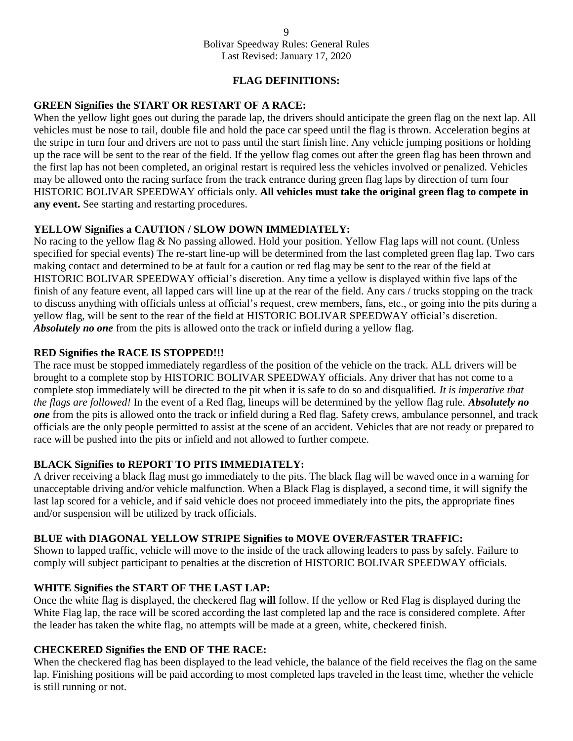### **FLAG DEFINITIONS:**

## **GREEN Signifies the START OR RESTART OF A RACE:**

When the yellow light goes out during the parade lap, the drivers should anticipate the green flag on the next lap. All vehicles must be nose to tail, double file and hold the pace car speed until the flag is thrown. Acceleration begins at the stripe in turn four and drivers are not to pass until the start finish line. Any vehicle jumping positions or holding up the race will be sent to the rear of the field. If the yellow flag comes out after the green flag has been thrown and the first lap has not been completed, an original restart is required less the vehicles involved or penalized. Vehicles may be allowed onto the racing surface from the track entrance during green flag laps by direction of turn four HISTORIC BOLIVAR SPEEDWAY officials only. **All vehicles must take the original green flag to compete in any event.** See starting and restarting procedures.

# **YELLOW Signifies a CAUTION / SLOW DOWN IMMEDIATELY:**

No racing to the yellow flag & No passing allowed. Hold your position. Yellow Flag laps will not count. (Unless specified for special events) The re-start line-up will be determined from the last completed green flag lap. Two cars making contact and determined to be at fault for a caution or red flag may be sent to the rear of the field at HISTORIC BOLIVAR SPEEDWAY official's discretion. Any time a yellow is displayed within five laps of the finish of any feature event, all lapped cars will line up at the rear of the field. Any cars / trucks stopping on the track to discuss anything with officials unless at official's request, crew members, fans, etc., or going into the pits during a yellow flag, will be sent to the rear of the field at HISTORIC BOLIVAR SPEEDWAY official's discretion. *Absolutely no one* from the pits is allowed onto the track or infield during a yellow flag.

### **RED Signifies the RACE IS STOPPED!!!**

The race must be stopped immediately regardless of the position of the vehicle on the track. ALL drivers will be brought to a complete stop by HISTORIC BOLIVAR SPEEDWAY officials. Any driver that has not come to a complete stop immediately will be directed to the pit when it is safe to do so and disqualified. *It is imperative that the flags are followed!* In the event of a Red flag, lineups will be determined by the yellow flag rule. *Absolutely no one* from the pits is allowed onto the track or infield during a Red flag. Safety crews, ambulance personnel, and track officials are the only people permitted to assist at the scene of an accident. Vehicles that are not ready or prepared to race will be pushed into the pits or infield and not allowed to further compete.

# **BLACK Signifies to REPORT TO PITS IMMEDIATELY:**

A driver receiving a black flag must go immediately to the pits. The black flag will be waved once in a warning for unacceptable driving and/or vehicle malfunction. When a Black Flag is displayed, a second time, it will signify the last lap scored for a vehicle, and if said vehicle does not proceed immediately into the pits, the appropriate fines and/or suspension will be utilized by track officials.

# **BLUE with DIAGONAL YELLOW STRIPE Signifies to MOVE OVER/FASTER TRAFFIC:**

Shown to lapped traffic, vehicle will move to the inside of the track allowing leaders to pass by safely. Failure to comply will subject participant to penalties at the discretion of HISTORIC BOLIVAR SPEEDWAY officials.

# **WHITE Signifies the START OF THE LAST LAP:**

Once the white flag is displayed, the checkered flag **will** follow. If the yellow or Red Flag is displayed during the White Flag lap, the race will be scored according the last completed lap and the race is considered complete. After the leader has taken the white flag, no attempts will be made at a green, white, checkered finish.

### **CHECKERED Signifies the END OF THE RACE:**

When the checkered flag has been displayed to the lead vehicle, the balance of the field receives the flag on the same lap. Finishing positions will be paid according to most completed laps traveled in the least time, whether the vehicle is still running or not.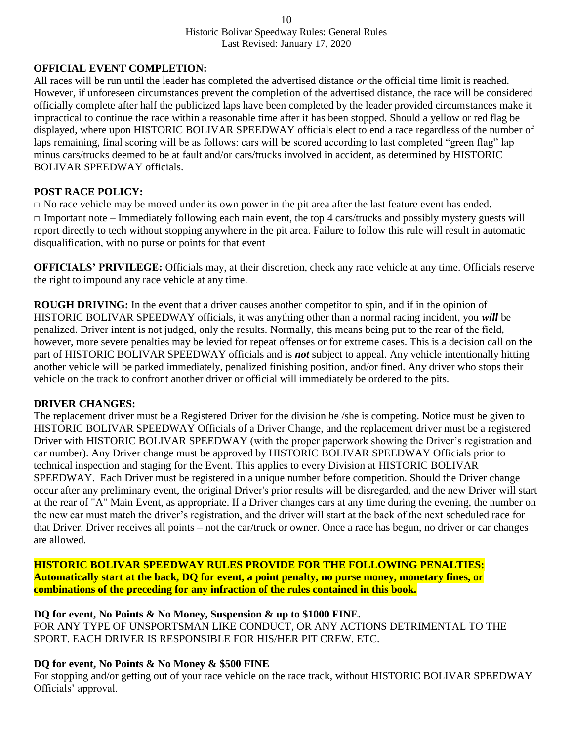### **OFFICIAL EVENT COMPLETION:**

All races will be run until the leader has completed the advertised distance *or* the official time limit is reached. However, if unforeseen circumstances prevent the completion of the advertised distance, the race will be considered officially complete after half the publicized laps have been completed by the leader provided circumstances make it impractical to continue the race within a reasonable time after it has been stopped. Should a yellow or red flag be displayed, where upon HISTORIC BOLIVAR SPEEDWAY officials elect to end a race regardless of the number of laps remaining, final scoring will be as follows: cars will be scored according to last completed "green flag" lap minus cars/trucks deemed to be at fault and/or cars/trucks involved in accident, as determined by HISTORIC BOLIVAR SPEEDWAY officials.

### **POST RACE POLICY:**

□ No race vehicle may be moved under its own power in the pit area after the last feature event has ended.  $\Box$  Important note – Immediately following each main event, the top 4 cars/trucks and possibly mystery guests will report directly to tech without stopping anywhere in the pit area. Failure to follow this rule will result in automatic disqualification, with no purse or points for that event

**OFFICIALS' PRIVILEGE:** Officials may, at their discretion, check any race vehicle at any time. Officials reserve the right to impound any race vehicle at any time.

**ROUGH DRIVING:** In the event that a driver causes another competitor to spin, and if in the opinion of HISTORIC BOLIVAR SPEEDWAY officials, it was anything other than a normal racing incident, you *will* be penalized. Driver intent is not judged, only the results. Normally, this means being put to the rear of the field, however, more severe penalties may be levied for repeat offenses or for extreme cases. This is a decision call on the part of HISTORIC BOLIVAR SPEEDWAY officials and is *not* subject to appeal. Any vehicle intentionally hitting another vehicle will be parked immediately, penalized finishing position, and/or fined. Any driver who stops their vehicle on the track to confront another driver or official will immediately be ordered to the pits.

### **DRIVER CHANGES:**

The replacement driver must be a Registered Driver for the division he /she is competing. Notice must be given to HISTORIC BOLIVAR SPEEDWAY Officials of a Driver Change, and the replacement driver must be a registered Driver with HISTORIC BOLIVAR SPEEDWAY (with the proper paperwork showing the Driver's registration and car number). Any Driver change must be approved by HISTORIC BOLIVAR SPEEDWAY Officials prior to technical inspection and staging for the Event. This applies to every Division at HISTORIC BOLIVAR SPEEDWAY. Each Driver must be registered in a unique number before competition. Should the Driver change occur after any preliminary event, the original Driver's prior results will be disregarded, and the new Driver will start at the rear of "A" Main Event, as appropriate. If a Driver changes cars at any time during the evening, the number on the new car must match the driver's registration, and the driver will start at the back of the next scheduled race for that Driver. Driver receives all points – not the car/truck or owner. Once a race has begun, no driver or car changes are allowed.

**HISTORIC BOLIVAR SPEEDWAY RULES PROVIDE FOR THE FOLLOWING PENALTIES: Automatically start at the back, DQ for event, a point penalty, no purse money, monetary fines, or combinations of the preceding for any infraction of the rules contained in this book.**

### **DQ for event, No Points & No Money, Suspension & up to \$1000 FINE.**

FOR ANY TYPE OF UNSPORTSMAN LIKE CONDUCT, OR ANY ACTIONS DETRIMENTAL TO THE SPORT. EACH DRIVER IS RESPONSIBLE FOR HIS/HER PIT CREW. ETC.

### **DQ for event, No Points & No Money & \$500 FINE**

For stopping and/or getting out of your race vehicle on the race track, without HISTORIC BOLIVAR SPEEDWAY Officials' approval.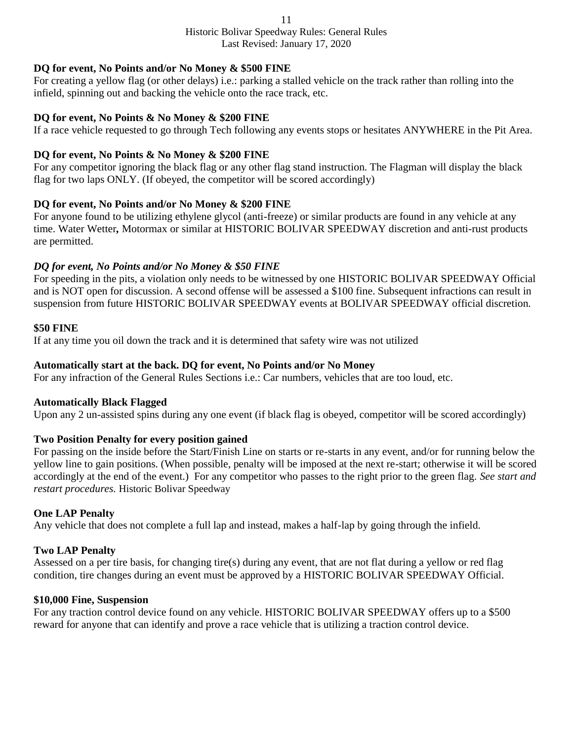### **DQ for event, No Points and/or No Money & \$500 FINE**

For creating a yellow flag (or other delays) i.e.: parking a stalled vehicle on the track rather than rolling into the infield, spinning out and backing the vehicle onto the race track, etc.

### **DQ for event, No Points & No Money & \$200 FINE**

If a race vehicle requested to go through Tech following any events stops or hesitates ANYWHERE in the Pit Area.

## **DQ for event, No Points & No Money & \$200 FINE**

For any competitor ignoring the black flag or any other flag stand instruction. The Flagman will display the black flag for two laps ONLY. (If obeyed, the competitor will be scored accordingly)

### **DQ for event, No Points and/or No Money & \$200 FINE**

For anyone found to be utilizing ethylene glycol (anti-freeze) or similar products are found in any vehicle at any time. Water Wetter*,* Motormax or similar at HISTORIC BOLIVAR SPEEDWAY discretion and anti-rust products are permitted.

### *DQ for event, No Points and/or No Money & \$50 FINE*

For speeding in the pits, a violation only needs to be witnessed by one HISTORIC BOLIVAR SPEEDWAY Official and is NOT open for discussion. A second offense will be assessed a \$100 fine. Subsequent infractions can result in suspension from future HISTORIC BOLIVAR SPEEDWAY events at BOLIVAR SPEEDWAY official discretion.

### **\$50 FINE**

If at any time you oil down the track and it is determined that safety wire was not utilized

### **Automatically start at the back. DQ for event, No Points and/or No Money**

For any infraction of the General Rules Sections i.e.: Car numbers, vehicles that are too loud, etc.

### **Automatically Black Flagged**

Upon any 2 un-assisted spins during any one event (if black flag is obeyed, competitor will be scored accordingly)

# **Two Position Penalty for every position gained**

For passing on the inside before the Start/Finish Line on starts or re-starts in any event, and/or for running below the yellow line to gain positions. (When possible, penalty will be imposed at the next re-start; otherwise it will be scored accordingly at the end of the event.) For any competitor who passes to the right prior to the green flag. *See start and restart procedures.* Historic Bolivar Speedway

### **One LAP Penalty**

Any vehicle that does not complete a full lap and instead, makes a half-lap by going through the infield.

# **Two LAP Penalty**

Assessed on a per tire basis, for changing tire(s) during any event, that are not flat during a yellow or red flag condition, tire changes during an event must be approved by a HISTORIC BOLIVAR SPEEDWAY Official.

### **\$10,000 Fine, Suspension**

For any traction control device found on any vehicle. HISTORIC BOLIVAR SPEEDWAY offers up to a \$500 reward for anyone that can identify and prove a race vehicle that is utilizing a traction control device.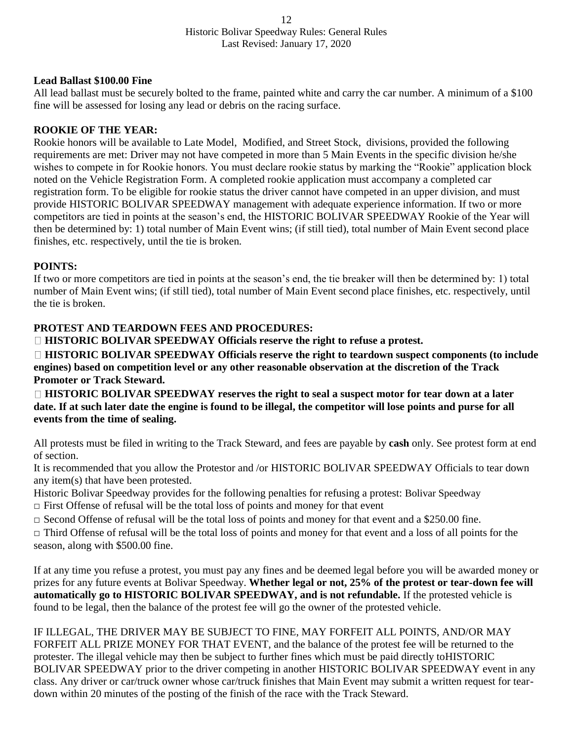### **Lead Ballast \$100.00 Fine**

All lead ballast must be securely bolted to the frame, painted white and carry the car number. A minimum of a \$100 fine will be assessed for losing any lead or debris on the racing surface.

#### **ROOKIE OF THE YEAR:**

Rookie honors will be available to Late Model, Modified, and Street Stock, divisions, provided the following requirements are met: Driver may not have competed in more than 5 Main Events in the specific division he/she wishes to compete in for Rookie honors. You must declare rookie status by marking the "Rookie" application block noted on the Vehicle Registration Form. A completed rookie application must accompany a completed car registration form. To be eligible for rookie status the driver cannot have competed in an upper division, and must provide HISTORIC BOLIVAR SPEEDWAY management with adequate experience information. If two or more competitors are tied in points at the season's end, the HISTORIC BOLIVAR SPEEDWAY Rookie of the Year will then be determined by: 1) total number of Main Event wins; (if still tied), total number of Main Event second place finishes, etc. respectively, until the tie is broken.

#### **POINTS:**

If two or more competitors are tied in points at the season's end, the tie breaker will then be determined by: 1) total number of Main Event wins; (if still tied), total number of Main Event second place finishes, etc. respectively, until the tie is broken.

### **PROTEST AND TEARDOWN FEES AND PROCEDURES:**

**HISTORIC BOLIVAR SPEEDWAY Officials reserve the right to refuse a protest.** 

**HISTORIC BOLIVAR SPEEDWAY Officials reserve the right to teardown suspect components (to include engines) based on competition level or any other reasonable observation at the discretion of the Track Promoter or Track Steward.** 

**HISTORIC BOLIVAR SPEEDWAY reserves the right to seal a suspect motor for tear down at a later date. If at such later date the engine is found to be illegal, the competitor will lose points and purse for all events from the time of sealing.** 

All protests must be filed in writing to the Track Steward, and fees are payable by **cash** only. See protest form at end of section.

It is recommended that you allow the Protestor and /or HISTORIC BOLIVAR SPEEDWAY Officials to tear down any item(s) that have been protested.

Historic Bolivar Speedway provides for the following penalties for refusing a protest: Bolivar Speedway  $\Box$  First Offense of refusal will be the total loss of points and money for that event

□ Second Offense of refusal will be the total loss of points and money for that event and a \$250.00 fine.

 $\Box$  Third Offense of refusal will be the total loss of points and money for that event and a loss of all points for the season, along with \$500.00 fine.

If at any time you refuse a protest, you must pay any fines and be deemed legal before you will be awarded money or prizes for any future events at Bolivar Speedway. **Whether legal or not, 25% of the protest or tear-down fee will automatically go to HISTORIC BOLIVAR SPEEDWAY, and is not refundable.** If the protested vehicle is found to be legal, then the balance of the protest fee will go the owner of the protested vehicle.

IF ILLEGAL, THE DRIVER MAY BE SUBJECT TO FINE, MAY FORFEIT ALL POINTS, AND/OR MAY FORFEIT ALL PRIZE MONEY FOR THAT EVENT, and the balance of the protest fee will be returned to the protester. The illegal vehicle may then be subject to further fines which must be paid directly toHISTORIC BOLIVAR SPEEDWAY prior to the driver competing in another HISTORIC BOLIVAR SPEEDWAY event in any class. Any driver or car/truck owner whose car/truck finishes that Main Event may submit a written request for teardown within 20 minutes of the posting of the finish of the race with the Track Steward.